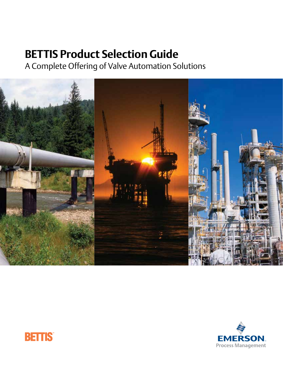# **BETTIS Product Selection Guide**

A Complete Offering of Valve Automation Solutions





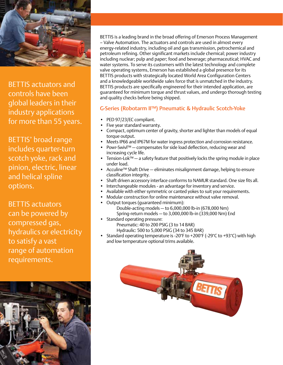

BETTIS actuators and controls have been global leaders in their industry applications for more than 55 years.

BETTIS' broad range includes quarter-turn scotch yoke, rack and pinion, electric, linear and helical spline options.

BETTIS actuators can be powered by compressed gas, hydraulics or electricity to satisfy a vast range of automation requirements.



BETTIS is a leading brand in the broad offering of Emerson Process Management – Valve Automation. The actuators and controls are used in almost every energy-related industry, including oil and gas transmission, petrochemical and petroleum refining. Other significant markets include chemical; power industry including nuclear; pulp and paper; food and beverage; pharmaceutical; HVAC and water systems. To serve its customers with the latest technology and complete valve operating systems, Emerson has established a global presence for its BETTIS products with strategically located World Area Configuration Centers and a knowledgeable worldwide sales force that is unmatched in the industry. BETTIS products are specifically engineered for their intended application, are guaranteed for minimum torque and thrust values, and undergo thorough testing and quality checks before being shipped.

#### G-Series (Robotarm II™) Pneumatic & Hydraulic Scotch-Yoke

- PED 97/23/EC compliant.
- Five year standard warranty.
- Compact, optimum center of gravity, shorter and lighter than models of equal torque output.
- Meets IP66 and IP67M for water ingress protection and corrosion resistance.
- Powr-Swivl™ compensates for side load deflection, reducing wear and increasing cycle life.
- Tension-Lok™ a safety feature that positively locks the spring module in place under load.
- • Acculine™ Shaft Drive eliminates misalignment damage, helping to ensure classification integrity.
- Shaft driven accessory interface conforms to NAMUR standard. One size fits all.
- Interchangeable modules an advantage for inventory and service.
- Available with either symmetric or canted yokes to suit your requirements.
	- Modular construction for online maintenance without valve removal.
- Output torques (quaranteed minimum): Double-acting models — to 6,000,000 lb-in (678,000 Nm) Spring-return models — to 3,000,000 lb-in (339,000 Nm) End
- Standard operating pressure: Pneumatic: 40 to 200 PSIG (3 to 14 BAR) Hydraulic: 500 to 5,000 PSIG (34 to 345 BAR)
- Standard operating temperature is -20°F to +200°F (-29°C to +93°C) with high and low temperature optional trims available.

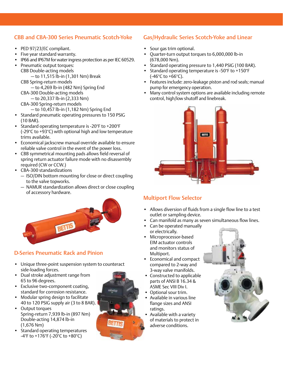### CBB and CBA-300 Series Pneumatic Scotch-Yoke

- • PED 97/23/EC compliant.
- • Five year standard warranty.
- IP66 and IP67M for water ingress protection as per IEC 60529.
- • Pneumatic output torques: CBB Double-acting models — to 11,515 lb-in (1,301 Nm) Break
	- CBB Spring-return models

— to 4,269 lb-in (482 Nm) Spring End CBA-300 Double-acting models

- to 20,337 lb-in (2,333 Nm)
- CBA-300 Spring-return models
	- to 10,457 lb-in (1,182 Nm) Spring End
- Standard pneumatic operating pressures to 150 PSIG (10 BAR).
- • Standard operating temperature is -20°F to +200°F (-29°C to +93°C) with optional high and low temperature trims available.
- Economical jackscrew manual override available to ensure reliable valve control in the event of the power loss.
- • CBB symmetrical mounting pads allows field reversal of spring return actuator failure mode with no disassembly required (CW or CCW.)
- • CBA-300 standardizations
	- ISO/DIN bottom mounting for close or direct coupling to the valve topworks.
	- NAMUR standardization allows direct or close coupling of accessory hardware.



## D-Series Pneumatic Rack and Pinion

- Unique three-point suspension system to counteract side-loading forces.
- • Dual stroke adjustment range from 65 to 96 degrees.
- Exclusive two-component coating, standard for corrosion resistance.
- • Modular spring design to facilitate 40 to 120 PSIG supply air (3 to 8 BAR).
- • Output torques Spring-return 7,939 lb-in (897 Nm) Double-acting 14,874 lb-in (1,676 Nm)
- Standard operating temperatures -4°F to +176°F (-20°C to +80°C)



• Sour gas trim optional.

(678,000 Nm).



Gas/Hydraulic Series Scotch-Yoke and Linear

Standard operating pressure to 1,440 PSIG (100 BAR). • Standard operating temperature is -50°F to +150°F

• Quarter-turn output torques to 6,000,000 lb-in

### Multiport Flow Selector

- Allows diversion of fluids from a single flow line to a test outlet or sampling device.
- • Can manifold as many as seven simultaneous flow lines.
- • Can be operated manually or electrically.
- Microprocessor-based EIM actuator controls and monitors status of Multiport.
- • Economical and compact compared to 2-way and 3-way valve manifolds.
- Constructed to applicable parts of ANSI B 16.34 & ASME Sec VIII Div I.
- • Optional sour trim.
- • Available in various line flange sizes and ANSI ratings.
- Available with a variety of materials to protect in adverse conditions.

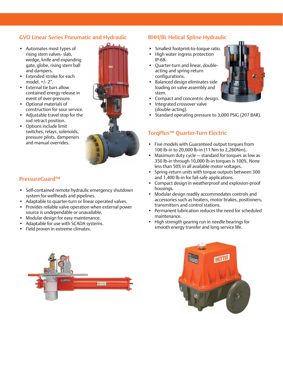### GVO Linear Series Pneumatic and Hydraulic

- • Automates most types of rising stem valves- slab, wedge, knife and expanding gate, globe, rising stem ball and dampers.
- • Extended stroke for each model, +/- 2".
- External tie bars allow contained energy release in event of over-pressure.
- • Optional materials of construction for sour service.
- • Adjustable travel stop for the rod retract position.
- • Options include limit switches, relays, solenoids, pressure pilots, dampeners and manual overrides.



### PressureGuard™

- Self-contained remote hydraulic emergency shutdown system for wellheads and pipelines.
- Adaptable to quarter-turn or linear operated valves.
- Provides reliable valve operation when external power source is undependable or unavailable.
- • Modular design for easy maintenance.
- • Adaptable for use with SCADA systems.
- Field proven in extreme climates.

### BHH/BL Helical Spline Hydraulic

- Smallest footprint-to-torque ratio.
- High water ingress protection IP-68.
- • Quarter-turn and linear, doubleacting and spring-return configurations.
- Balanced design eliminates side loading on valve assembly and stem.
- Compact and concentric design.
- Integrated crossover valve (double-acting).
- Standard operating pressure to 3,000 PSIG (207 BAR).

#### TorqPlus™ Quarter-Turn Electric

- • Five models with Guaranteed output torques from 100 lb-in to 20,000 lb-in (11 Nm to 2,260Nm).
- Maximum duty cycle standard for torques as low as 350 lb-in through 10,000 lb-in torques is 100%. None less than 50% in all available motor voltages.
- • Spring-return units with torque outputs between 300 and 1,400 lb-in for fail-safe applications.
- • Compact design in weatherproof and explosion-proof housings.
- Modular design readily accommodates controls and accessories such as heaters, motor brakes, positioners, transmitters and control stations.
- Permanent lubrication reduces the need for scheduled maintenance.
- High strength gearing run in needle bearings for smooth energy transfer and long service life.





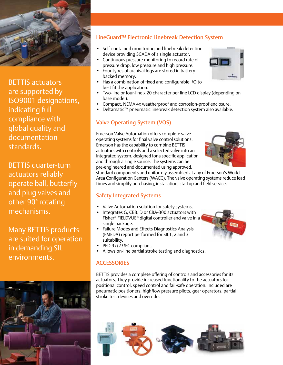

BETTIS actuators are supported by ISO9001 designations, indicating full compliance with global quality and documentation standards.

BETTIS quarter-turn actuators reliably operate ball, butterfly and plug valves and other 90° rotating mechanisms.

Many BETTIS products are suited for operation in demanding SIL environments.



### LineGuard™ Electronic Linebreak Detection System

- Self-contained monitoring and linebreak detection device providing SCADA of a single actuator.
- Continuous pressure monitoring to record rate of pressure drop, low pressure and high pressure.
- Four types of archival logs are stored in batterybacked memory.
- Has a combination of fixed and configurable I/O to best fit the application.
- Two-line or four-line x 20 character per line LCD display (depending on base model).
- Compact, NEMA 4x weatherproof and corrosion-proof enclosure.
- Deltamatic™ pneumatic linebreak detection system also available.

#### Valve Operating System (VOS)

Emerson Valve Automation offers complete valve operating systems for final valve control solutions. Emerson has the capability to combine BETTIS actuators with controls and a selected valve into an integrated system, designed for a specific application and through a single source. The systems can be pre-engineered and documented using approved,



standard components and uniformly assembled at any of Emerson's World Area Configuration Centers (WACC). The valve operating systems reduce lead times and simplify purchasing, installation, startup and field service.

#### Safety Integrated Systems

- Valve Automation solution for safety systems.
- Integrates G, CBB, D or CBA-300 actuators with Fisher® FIELDVUE® digital controller and valve in a single package.
- Failure Modes and Effects Diagnostics Analysis (FMEDA) report performed for SIL1, 2 and 3 suitability.
- PED 97/23/EC compliant.
- Allows on-line partial stroke testing and diagnostics.

#### **ACCESSORIES**

BETTIS provides a complete offering of controls and accessories for its actuators. They provide increased functionality to the actuators for positional control, speed control and fail-safe operation. Included are pneumatic positioners, high/low pressure pilots, gear operators, partial stroke test devices and overrides.